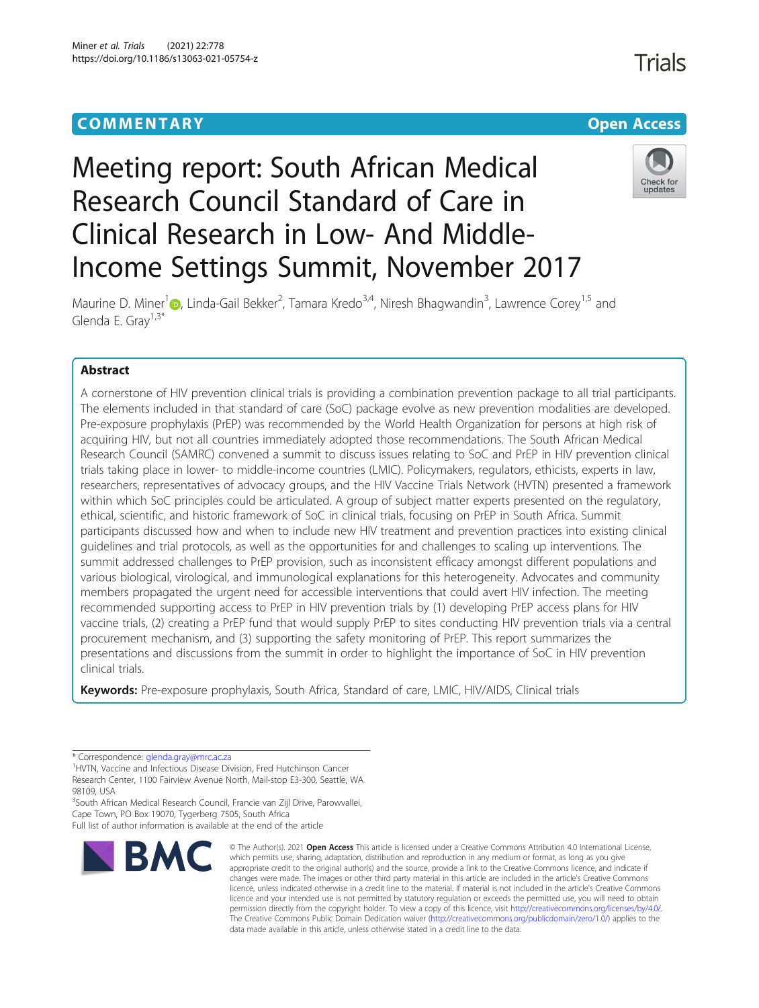## **COMMENTARY COMMENTARY Open Access**

# Meeting report: South African Medical Research Council Standard of Care in Clinical Research in Low- And Middle-Income Settings Summit, November 2017



**Trials** 

Maurine D. Miner<sup>1</sup> D[,](http://orcid.org/0000-0002-4637-1283) Linda-Gail Bekker<sup>2</sup>, Tamara Kredo<sup>3,4</sup>, Niresh Bhagwandin<sup>3</sup>, Lawrence Corey<sup>1,5</sup> and Glenda E. Grav<sup>1,3\*</sup>

### Abstract

A cornerstone of HIV prevention clinical trials is providing a combination prevention package to all trial participants. The elements included in that standard of care (SoC) package evolve as new prevention modalities are developed. Pre-exposure prophylaxis (PrEP) was recommended by the World Health Organization for persons at high risk of acquiring HIV, but not all countries immediately adopted those recommendations. The South African Medical Research Council (SAMRC) convened a summit to discuss issues relating to SoC and PrEP in HIV prevention clinical trials taking place in lower- to middle-income countries (LMIC). Policymakers, regulators, ethicists, experts in law, researchers, representatives of advocacy groups, and the HIV Vaccine Trials Network (HVTN) presented a framework within which SoC principles could be articulated. A group of subject matter experts presented on the regulatory, ethical, scientific, and historic framework of SoC in clinical trials, focusing on PrEP in South Africa. Summit participants discussed how and when to include new HIV treatment and prevention practices into existing clinical guidelines and trial protocols, as well as the opportunities for and challenges to scaling up interventions. The summit addressed challenges to PrEP provision, such as inconsistent efficacy amongst different populations and various biological, virological, and immunological explanations for this heterogeneity. Advocates and community members propagated the urgent need for accessible interventions that could avert HIV infection. The meeting recommended supporting access to PrEP in HIV prevention trials by (1) developing PrEP access plans for HIV vaccine trials, (2) creating a PrEP fund that would supply PrEP to sites conducting HIV prevention trials via a central procurement mechanism, and (3) supporting the safety monitoring of PrEP. This report summarizes the presentations and discussions from the summit in order to highlight the importance of SoC in HIV prevention clinical trials.

Keywords: Pre-exposure prophylaxis, South Africa, Standard of care, LMIC, HIV/AIDS, Clinical trials

<sup>1</sup>HVTN, Vaccine and Infectious Disease Division, Fred Hutchinson Cancer Research Center, 1100 Fairview Avenue North, Mail-stop E3-300, Seattle, WA 98109, USA

<sup>3</sup>South African Medical Research Council, Francie van Zijl Drive, Parowvallei, Cape Town, PO Box 19070, Tygerberg 7505, South Africa

Full list of author information is available at the end of the article



<sup>©</sup> The Author(s), 2021 **Open Access** This article is licensed under a Creative Commons Attribution 4.0 International License, which permits use, sharing, adaptation, distribution and reproduction in any medium or format, as long as you give appropriate credit to the original author(s) and the source, provide a link to the Creative Commons licence, and indicate if changes were made. The images or other third party material in this article are included in the article's Creative Commons licence, unless indicated otherwise in a credit line to the material. If material is not included in the article's Creative Commons licence and your intended use is not permitted by statutory regulation or exceeds the permitted use, you will need to obtain permission directly from the copyright holder. To view a copy of this licence, visit [http://creativecommons.org/licenses/by/4.0/.](http://creativecommons.org/licenses/by/4.0/) The Creative Commons Public Domain Dedication waiver [\(http://creativecommons.org/publicdomain/zero/1.0/](http://creativecommons.org/publicdomain/zero/1.0/)) applies to the data made available in this article, unless otherwise stated in a credit line to the data.

<sup>\*</sup> Correspondence: [glenda.gray@mrc.ac.za](mailto:glenda.gray@mrc.ac.za) <sup>1</sup>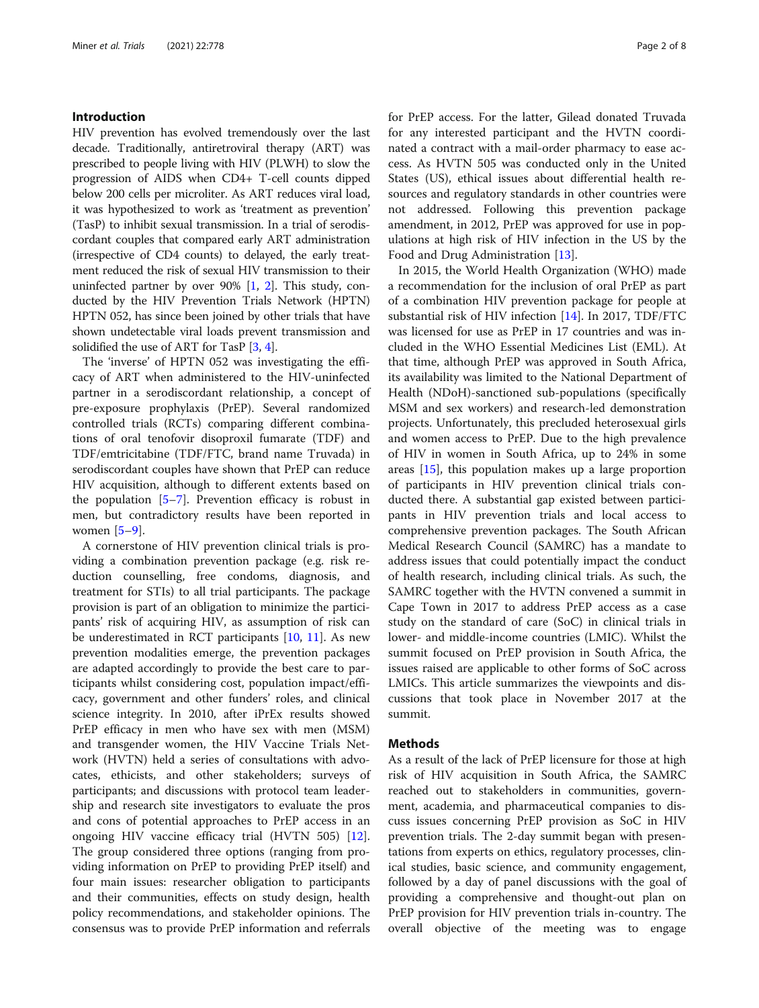#### Introduction

HIV prevention has evolved tremendously over the last decade. Traditionally, antiretroviral therapy (ART) was prescribed to people living with HIV (PLWH) to slow the progression of AIDS when CD4+ T-cell counts dipped below 200 cells per microliter. As ART reduces viral load, it was hypothesized to work as 'treatment as prevention' (TasP) to inhibit sexual transmission. In a trial of serodiscordant couples that compared early ART administration (irrespective of CD4 counts) to delayed, the early treatment reduced the risk of sexual HIV transmission to their uninfected partner by over  $90\%$  [\[1](#page-6-0), [2\]](#page-6-0). This study, conducted by the HIV Prevention Trials Network (HPTN) HPTN 052, has since been joined by other trials that have shown undetectable viral loads prevent transmission and solidified the use of ART for TasP [\[3](#page-6-0), [4\]](#page-6-0).

The 'inverse' of HPTN 052 was investigating the efficacy of ART when administered to the HIV-uninfected partner in a serodiscordant relationship, a concept of pre-exposure prophylaxis (PrEP). Several randomized controlled trials (RCTs) comparing different combinations of oral tenofovir disoproxil fumarate (TDF) and TDF/emtricitabine (TDF/FTC, brand name Truvada) in serodiscordant couples have shown that PrEP can reduce HIV acquisition, although to different extents based on the population [[5](#page-6-0)–[7](#page-6-0)]. Prevention efficacy is robust in men, but contradictory results have been reported in women  $[5-9]$  $[5-9]$  $[5-9]$  $[5-9]$ .

A cornerstone of HIV prevention clinical trials is providing a combination prevention package (e.g. risk reduction counselling, free condoms, diagnosis, and treatment for STIs) to all trial participants. The package provision is part of an obligation to minimize the participants' risk of acquiring HIV, as assumption of risk can be underestimated in RCT participants  $[10, 11]$  $[10, 11]$  $[10, 11]$ . As new prevention modalities emerge, the prevention packages are adapted accordingly to provide the best care to participants whilst considering cost, population impact/efficacy, government and other funders' roles, and clinical science integrity. In 2010, after iPrEx results showed PrEP efficacy in men who have sex with men (MSM) and transgender women, the HIV Vaccine Trials Network (HVTN) held a series of consultations with advocates, ethicists, and other stakeholders; surveys of participants; and discussions with protocol team leadership and research site investigators to evaluate the pros and cons of potential approaches to PrEP access in an ongoing HIV vaccine efficacy trial (HVTN 505) [\[12](#page-6-0)]. The group considered three options (ranging from providing information on PrEP to providing PrEP itself) and four main issues: researcher obligation to participants and their communities, effects on study design, health policy recommendations, and stakeholder opinions. The consensus was to provide PrEP information and referrals for PrEP access. For the latter, Gilead donated Truvada for any interested participant and the HVTN coordinated a contract with a mail-order pharmacy to ease access. As HVTN 505 was conducted only in the United States (US), ethical issues about differential health resources and regulatory standards in other countries were not addressed. Following this prevention package amendment, in 2012, PrEP was approved for use in populations at high risk of HIV infection in the US by the Food and Drug Administration [\[13](#page-6-0)].

In 2015, the World Health Organization (WHO) made a recommendation for the inclusion of oral PrEP as part of a combination HIV prevention package for people at substantial risk of HIV infection [\[14\]](#page-6-0). In 2017, TDF/FTC was licensed for use as PrEP in 17 countries and was included in the WHO Essential Medicines List (EML). At that time, although PrEP was approved in South Africa, its availability was limited to the National Department of Health (NDoH)-sanctioned sub-populations (specifically MSM and sex workers) and research-led demonstration projects. Unfortunately, this precluded heterosexual girls and women access to PrEP. Due to the high prevalence of HIV in women in South Africa, up to 24% in some areas [\[15](#page-6-0)], this population makes up a large proportion of participants in HIV prevention clinical trials conducted there. A substantial gap existed between participants in HIV prevention trials and local access to comprehensive prevention packages. The South African Medical Research Council (SAMRC) has a mandate to address issues that could potentially impact the conduct of health research, including clinical trials. As such, the SAMRC together with the HVTN convened a summit in Cape Town in 2017 to address PrEP access as a case study on the standard of care (SoC) in clinical trials in lower- and middle-income countries (LMIC). Whilst the summit focused on PrEP provision in South Africa, the issues raised are applicable to other forms of SoC across LMICs. This article summarizes the viewpoints and discussions that took place in November 2017 at the summit.

#### **Methods**

As a result of the lack of PrEP licensure for those at high risk of HIV acquisition in South Africa, the SAMRC reached out to stakeholders in communities, government, academia, and pharmaceutical companies to discuss issues concerning PrEP provision as SoC in HIV prevention trials. The 2-day summit began with presentations from experts on ethics, regulatory processes, clinical studies, basic science, and community engagement, followed by a day of panel discussions with the goal of providing a comprehensive and thought-out plan on PrEP provision for HIV prevention trials in-country. The overall objective of the meeting was to engage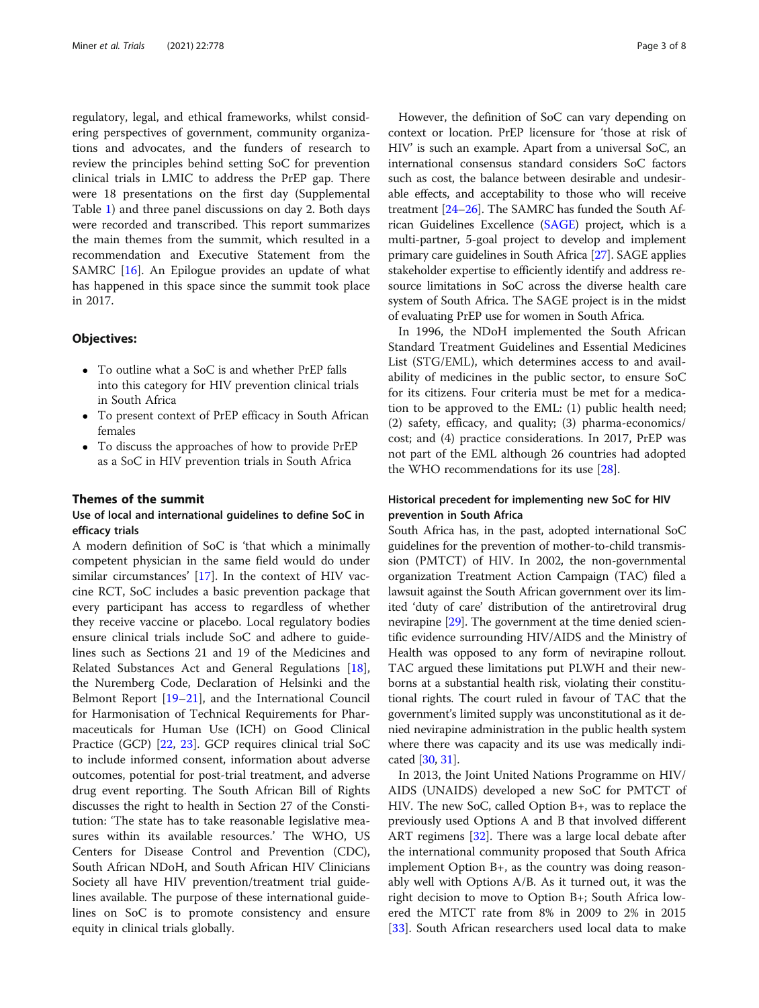regulatory, legal, and ethical frameworks, whilst considering perspectives of government, community organizations and advocates, and the funders of research to review the principles behind setting SoC for prevention clinical trials in LMIC to address the PrEP gap. There were 18 presentations on the first day (Supplemental Table [1\)](#page-5-0) and three panel discussions on day 2. Both days were recorded and transcribed. This report summarizes the main themes from the summit, which resulted in a recommendation and Executive Statement from the SAMRC [[16\]](#page-6-0). An Epilogue provides an update of what has happened in this space since the summit took place in 2017.

#### Objectives:

- To outline what a SoC is and whether PrEP falls into this category for HIV prevention clinical trials in South Africa
- To present context of PrEP efficacy in South African females
- To discuss the approaches of how to provide PrEP as a SoC in HIV prevention trials in South Africa

#### Themes of the summit

#### Use of local and international guidelines to define SoC in efficacy trials

A modern definition of SoC is 'that which a minimally competent physician in the same field would do under similar circumstances' [[17\]](#page-6-0). In the context of HIV vaccine RCT, SoC includes a basic prevention package that every participant has access to regardless of whether they receive vaccine or placebo. Local regulatory bodies ensure clinical trials include SoC and adhere to guidelines such as Sections 21 and 19 of the Medicines and Related Substances Act and General Regulations [\[18](#page-6-0)], the Nuremberg Code, Declaration of Helsinki and the Belmont Report [\[19](#page-6-0)–[21\]](#page-6-0), and the International Council for Harmonisation of Technical Requirements for Pharmaceuticals for Human Use (ICH) on Good Clinical Practice (GCP) [[22,](#page-6-0) [23](#page-6-0)]. GCP requires clinical trial SoC to include informed consent, information about adverse outcomes, potential for post-trial treatment, and adverse drug event reporting. The South African Bill of Rights discusses the right to health in Section 27 of the Constitution: 'The state has to take reasonable legislative measures within its available resources.' The WHO, US Centers for Disease Control and Prevention (CDC), South African NDoH, and South African HIV Clinicians Society all have HIV prevention/treatment trial guidelines available. The purpose of these international guidelines on SoC is to promote consistency and ensure equity in clinical trials globally.

However, the definition of SoC can vary depending on context or location. PrEP licensure for 'those at risk of HIV' is such an example. Apart from a universal SoC, an international consensus standard considers SoC factors such as cost, the balance between desirable and undesirable effects, and acceptability to those who will receive treatment [[24](#page-6-0)–[26\]](#page-6-0). The SAMRC has funded the South African Guidelines Excellence [\(SAGE](http://www.mrc.ac.za/intramural-research-units/Cochrane-SAGE)) project, which is a multi-partner, 5-goal project to develop and implement primary care guidelines in South Africa [[27](#page-6-0)]. SAGE applies stakeholder expertise to efficiently identify and address resource limitations in SoC across the diverse health care system of South Africa. The SAGE project is in the midst of evaluating PrEP use for women in South Africa.

In 1996, the NDoH implemented the South African Standard Treatment Guidelines and Essential Medicines List (STG/EML), which determines access to and availability of medicines in the public sector, to ensure SoC for its citizens. Four criteria must be met for a medication to be approved to the EML: (1) public health need; (2) safety, efficacy, and quality; (3) pharma-economics/ cost; and (4) practice considerations. In 2017, PrEP was not part of the EML although 26 countries had adopted the WHO recommendations for its use [[28](#page-6-0)].

#### Historical precedent for implementing new SoC for HIV prevention in South Africa

South Africa has, in the past, adopted international SoC guidelines for the prevention of mother-to-child transmission (PMTCT) of HIV. In 2002, the non-governmental organization Treatment Action Campaign (TAC) filed a lawsuit against the South African government over its limited 'duty of care' distribution of the antiretroviral drug nevirapine [\[29\]](#page-6-0). The government at the time denied scientific evidence surrounding HIV/AIDS and the Ministry of Health was opposed to any form of nevirapine rollout. TAC argued these limitations put PLWH and their newborns at a substantial health risk, violating their constitutional rights. The court ruled in favour of TAC that the government's limited supply was unconstitutional as it denied nevirapine administration in the public health system where there was capacity and its use was medically indicated [[30](#page-6-0), [31\]](#page-6-0).

In 2013, the Joint United Nations Programme on HIV/ AIDS (UNAIDS) developed a new SoC for PMTCT of HIV. The new SoC, called Option B+, was to replace the previously used Options A and B that involved different ART regimens [\[32](#page-7-0)]. There was a large local debate after the international community proposed that South Africa implement Option B+, as the country was doing reasonably well with Options A/B. As it turned out, it was the right decision to move to Option B+; South Africa lowered the MTCT rate from 8% in 2009 to 2% in 2015 [[33\]](#page-7-0). South African researchers used local data to make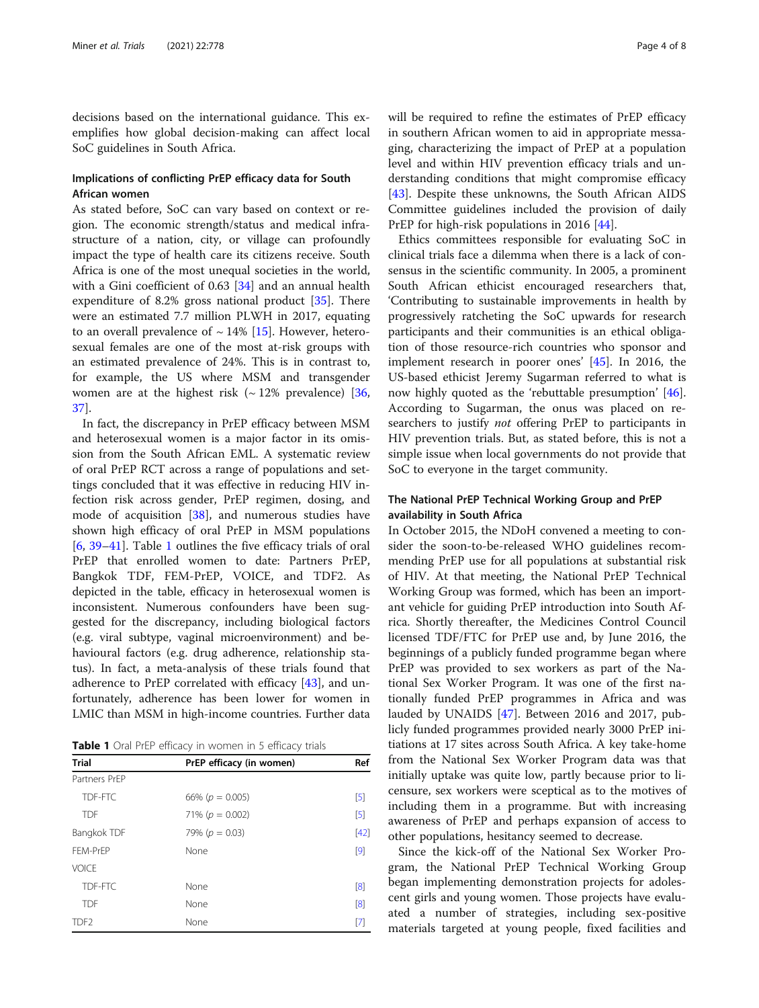decisions based on the international guidance. This exemplifies how global decision-making can affect local SoC guidelines in South Africa.

#### Implications of conflicting PrEP efficacy data for South African women

As stated before, SoC can vary based on context or region. The economic strength/status and medical infrastructure of a nation, city, or village can profoundly impact the type of health care its citizens receive. South Africa is one of the most unequal societies in the world, with a Gini coefficient of 0.63 [[34\]](#page-7-0) and an annual health expenditure of 8.2% gross national product [[35\]](#page-7-0). There were an estimated 7.7 million PLWH in 2017, equating to an overall prevalence of  $\sim$  14% [[15](#page-6-0)]. However, heterosexual females are one of the most at-risk groups with an estimated prevalence of 24%. This is in contrast to, for example, the US where MSM and transgender women are at the highest risk  $({\sim} 12\%)$  prevalence) [[36](#page-7-0), [37\]](#page-7-0).

In fact, the discrepancy in PrEP efficacy between MSM and heterosexual women is a major factor in its omission from the South African EML. A systematic review of oral PrEP RCT across a range of populations and settings concluded that it was effective in reducing HIV infection risk across gender, PrEP regimen, dosing, and mode of acquisition [\[38\]](#page-7-0), and numerous studies have shown high efficacy of oral PrEP in MSM populations [[6,](#page-6-0) [39](#page-7-0)–[41\]](#page-7-0). Table 1 outlines the five efficacy trials of oral PrEP that enrolled women to date: Partners PrEP, Bangkok TDF, FEM-PrEP, VOICE, and TDF2. As depicted in the table, efficacy in heterosexual women is inconsistent. Numerous confounders have been suggested for the discrepancy, including biological factors (e.g. viral subtype, vaginal microenvironment) and behavioural factors (e.g. drug adherence, relationship status). In fact, a meta-analysis of these trials found that adherence to PrEP correlated with efficacy [\[43](#page-7-0)], and unfortunately, adherence has been lower for women in LMIC than MSM in high-income countries. Further data

Table 1 Oral PrEP efficacy in women in 5 efficacy trials

| <b>Trial</b>     | PrEP efficacy (in women) | Ref                               |
|------------------|--------------------------|-----------------------------------|
| Partners PrFP    |                          |                                   |
| TDF-FTC          | 66% ( $p = 0.005$ )      | $\begin{bmatrix} 5 \end{bmatrix}$ |
| <b>TDF</b>       | 71% ( $p = 0.002$ )      | $[5]$                             |
| Bangkok TDF      | 79% ( $p = 0.03$ )       | $[42]$                            |
| FFM-PrFP         | None                     | [9]                               |
| VOICE            |                          |                                   |
| TDF-FTC          | None                     | [8]                               |
| <b>TDF</b>       | None                     | [8]                               |
| TDF <sub>2</sub> | None                     | [7]                               |
|                  |                          |                                   |

will be required to refine the estimates of PrEP efficacy in southern African women to aid in appropriate messaging, characterizing the impact of PrEP at a population level and within HIV prevention efficacy trials and understanding conditions that might compromise efficacy [[43\]](#page-7-0). Despite these unknowns, the South African AIDS Committee guidelines included the provision of daily PrEP for high-risk populations in 2016 [\[44](#page-7-0)].

Ethics committees responsible for evaluating SoC in clinical trials face a dilemma when there is a lack of consensus in the scientific community. In 2005, a prominent South African ethicist encouraged researchers that, 'Contributing to sustainable improvements in health by progressively ratcheting the SoC upwards for research participants and their communities is an ethical obligation of those resource-rich countries who sponsor and implement research in poorer ones' [[45\]](#page-7-0). In 2016, the US-based ethicist Jeremy Sugarman referred to what is now highly quoted as the 'rebuttable presumption' [\[46](#page-7-0)]. According to Sugarman, the onus was placed on researchers to justify *not* offering PrEP to participants in HIV prevention trials. But, as stated before, this is not a simple issue when local governments do not provide that SoC to everyone in the target community.

#### The National PrEP Technical Working Group and PrEP availability in South Africa

In October 2015, the NDoH convened a meeting to consider the soon-to-be-released WHO guidelines recommending PrEP use for all populations at substantial risk of HIV. At that meeting, the National PrEP Technical Working Group was formed, which has been an important vehicle for guiding PrEP introduction into South Africa. Shortly thereafter, the Medicines Control Council licensed TDF/FTC for PrEP use and, by June 2016, the beginnings of a publicly funded programme began where PrEP was provided to sex workers as part of the National Sex Worker Program. It was one of the first nationally funded PrEP programmes in Africa and was lauded by UNAIDS [\[47](#page-7-0)]. Between 2016 and 2017, publicly funded programmes provided nearly 3000 PrEP initiations at 17 sites across South Africa. A key take-home from the National Sex Worker Program data was that initially uptake was quite low, partly because prior to licensure, sex workers were sceptical as to the motives of including them in a programme. But with increasing awareness of PrEP and perhaps expansion of access to other populations, hesitancy seemed to decrease.

Since the kick-off of the National Sex Worker Program, the National PrEP Technical Working Group began implementing demonstration projects for adolescent girls and young women. Those projects have evaluated a number of strategies, including sex-positive materials targeted at young people, fixed facilities and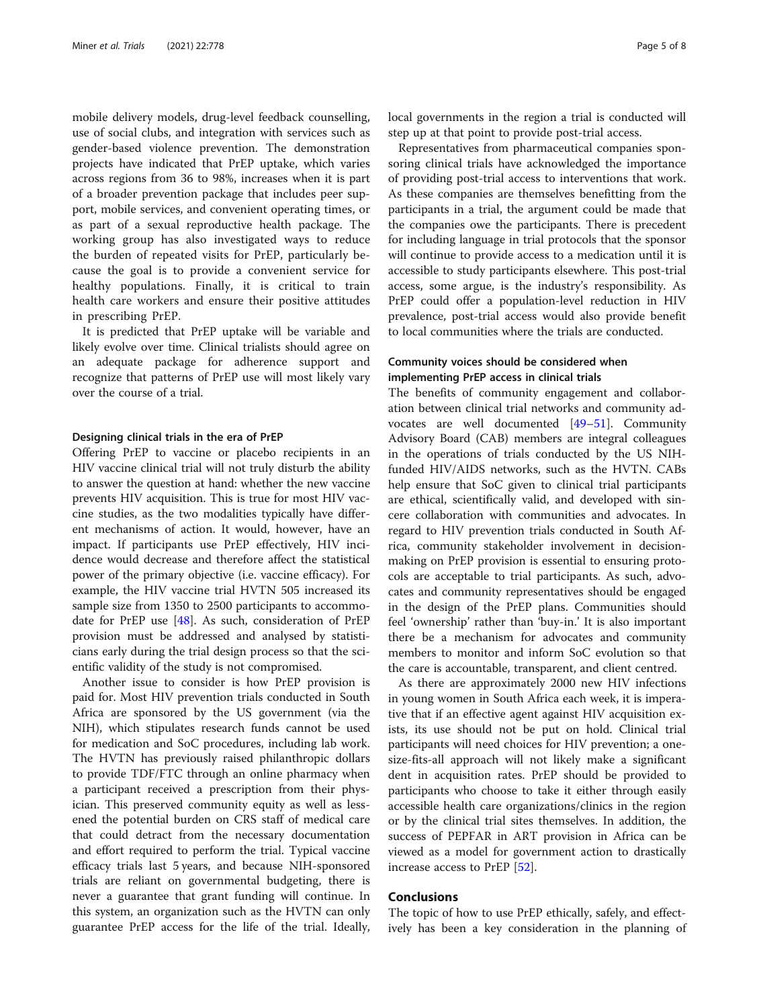mobile delivery models, drug-level feedback counselling, use of social clubs, and integration with services such as gender-based violence prevention. The demonstration projects have indicated that PrEP uptake, which varies across regions from 36 to 98%, increases when it is part of a broader prevention package that includes peer support, mobile services, and convenient operating times, or as part of a sexual reproductive health package. The working group has also investigated ways to reduce the burden of repeated visits for PrEP, particularly because the goal is to provide a convenient service for healthy populations. Finally, it is critical to train health care workers and ensure their positive attitudes in prescribing PrEP.

It is predicted that PrEP uptake will be variable and likely evolve over time. Clinical trialists should agree on an adequate package for adherence support and recognize that patterns of PrEP use will most likely vary over the course of a trial.

#### Designing clinical trials in the era of PrEP

Offering PrEP to vaccine or placebo recipients in an HIV vaccine clinical trial will not truly disturb the ability to answer the question at hand: whether the new vaccine prevents HIV acquisition. This is true for most HIV vaccine studies, as the two modalities typically have different mechanisms of action. It would, however, have an impact. If participants use PrEP effectively, HIV incidence would decrease and therefore affect the statistical power of the primary objective (i.e. vaccine efficacy). For example, the HIV vaccine trial HVTN 505 increased its sample size from 1350 to 2500 participants to accommodate for PrEP use [\[48](#page-7-0)]. As such, consideration of PrEP provision must be addressed and analysed by statisticians early during the trial design process so that the scientific validity of the study is not compromised.

Another issue to consider is how PrEP provision is paid for. Most HIV prevention trials conducted in South Africa are sponsored by the US government (via the NIH), which stipulates research funds cannot be used for medication and SoC procedures, including lab work. The HVTN has previously raised philanthropic dollars to provide TDF/FTC through an online pharmacy when a participant received a prescription from their physician. This preserved community equity as well as lessened the potential burden on CRS staff of medical care that could detract from the necessary documentation and effort required to perform the trial. Typical vaccine efficacy trials last 5 years, and because NIH-sponsored trials are reliant on governmental budgeting, there is never a guarantee that grant funding will continue. In this system, an organization such as the HVTN can only guarantee PrEP access for the life of the trial. Ideally, local governments in the region a trial is conducted will step up at that point to provide post-trial access.

Representatives from pharmaceutical companies sponsoring clinical trials have acknowledged the importance of providing post-trial access to interventions that work. As these companies are themselves benefitting from the participants in a trial, the argument could be made that the companies owe the participants. There is precedent for including language in trial protocols that the sponsor will continue to provide access to a medication until it is accessible to study participants elsewhere. This post-trial access, some argue, is the industry's responsibility. As PrEP could offer a population-level reduction in HIV prevalence, post-trial access would also provide benefit to local communities where the trials are conducted.

#### Community voices should be considered when implementing PrEP access in clinical trials

The benefits of community engagement and collaboration between clinical trial networks and community advocates are well documented [\[49](#page-7-0)–[51\]](#page-7-0). Community Advisory Board (CAB) members are integral colleagues in the operations of trials conducted by the US NIHfunded HIV/AIDS networks, such as the HVTN. CABs help ensure that SoC given to clinical trial participants are ethical, scientifically valid, and developed with sincere collaboration with communities and advocates. In regard to HIV prevention trials conducted in South Africa, community stakeholder involvement in decisionmaking on PrEP provision is essential to ensuring protocols are acceptable to trial participants. As such, advocates and community representatives should be engaged in the design of the PrEP plans. Communities should feel 'ownership' rather than 'buy-in.' It is also important there be a mechanism for advocates and community members to monitor and inform SoC evolution so that the care is accountable, transparent, and client centred.

As there are approximately 2000 new HIV infections in young women in South Africa each week, it is imperative that if an effective agent against HIV acquisition exists, its use should not be put on hold. Clinical trial participants will need choices for HIV prevention; a onesize-fits-all approach will not likely make a significant dent in acquisition rates. PrEP should be provided to participants who choose to take it either through easily accessible health care organizations/clinics in the region or by the clinical trial sites themselves. In addition, the success of PEPFAR in ART provision in Africa can be viewed as a model for government action to drastically increase access to PrEP [\[52](#page-7-0)].

#### Conclusions

The topic of how to use PrEP ethically, safely, and effectively has been a key consideration in the planning of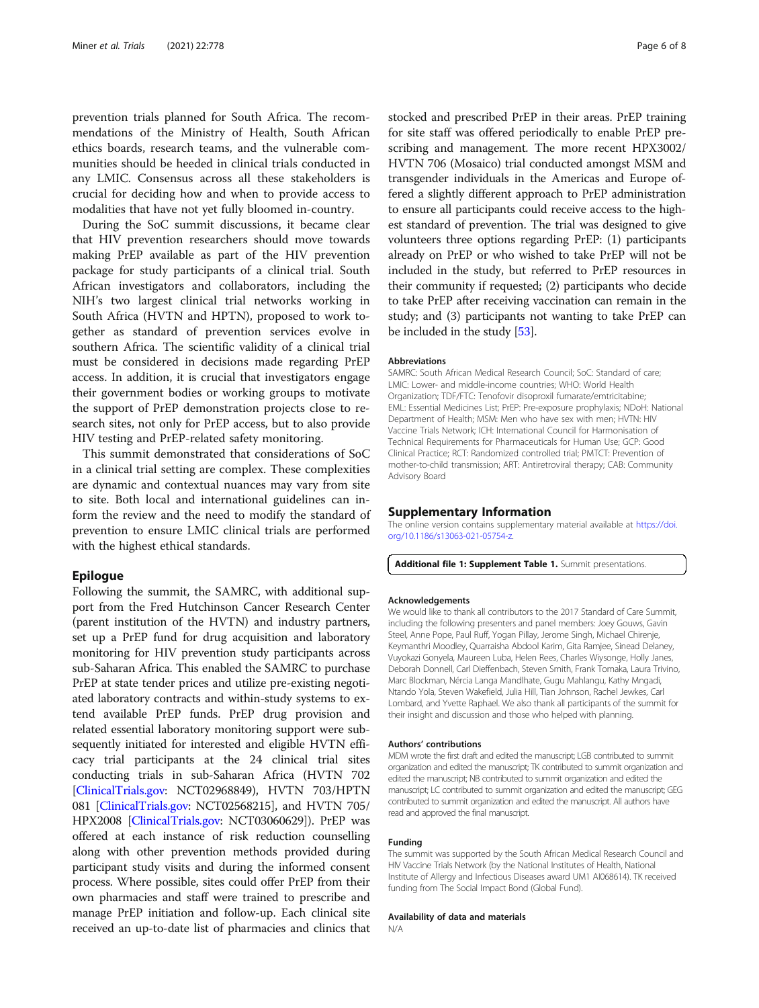<span id="page-5-0"></span>prevention trials planned for South Africa. The recommendations of the Ministry of Health, South African ethics boards, research teams, and the vulnerable communities should be heeded in clinical trials conducted in any LMIC. Consensus across all these stakeholders is crucial for deciding how and when to provide access to modalities that have not yet fully bloomed in-country.

During the SoC summit discussions, it became clear that HIV prevention researchers should move towards making PrEP available as part of the HIV prevention package for study participants of a clinical trial. South African investigators and collaborators, including the NIH's two largest clinical trial networks working in South Africa (HVTN and HPTN), proposed to work together as standard of prevention services evolve in southern Africa. The scientific validity of a clinical trial must be considered in decisions made regarding PrEP access. In addition, it is crucial that investigators engage their government bodies or working groups to motivate the support of PrEP demonstration projects close to research sites, not only for PrEP access, but to also provide HIV testing and PrEP-related safety monitoring.

This summit demonstrated that considerations of SoC in a clinical trial setting are complex. These complexities are dynamic and contextual nuances may vary from site to site. Both local and international guidelines can inform the review and the need to modify the standard of prevention to ensure LMIC clinical trials are performed with the highest ethical standards.

#### Epilogue

Following the summit, the SAMRC, with additional support from the Fred Hutchinson Cancer Research Center (parent institution of the HVTN) and industry partners, set up a PrEP fund for drug acquisition and laboratory monitoring for HIV prevention study participants across sub-Saharan Africa. This enabled the SAMRC to purchase PrEP at state tender prices and utilize pre-existing negotiated laboratory contracts and within-study systems to extend available PrEP funds. PrEP drug provision and related essential laboratory monitoring support were subsequently initiated for interested and eligible HVTN efficacy trial participants at the 24 clinical trial sites conducting trials in sub-Saharan Africa (HVTN 702 [[ClinicalTrials.gov](http://clinicaltrials.gov): NCT02968849), HVTN 703/HPTN 081 [\[ClinicalTrials.gov:](http://clinicaltrials.gov) NCT02568215], and HVTN 705/ HPX2008 [\[ClinicalTrials.gov:](http://clinicaltrials.gov) NCT03060629]). PrEP was offered at each instance of risk reduction counselling along with other prevention methods provided during participant study visits and during the informed consent process. Where possible, sites could offer PrEP from their own pharmacies and staff were trained to prescribe and manage PrEP initiation and follow-up. Each clinical site received an up-to-date list of pharmacies and clinics that

stocked and prescribed PrEP in their areas. PrEP training for site staff was offered periodically to enable PrEP prescribing and management. The more recent HPX3002/ HVTN 706 (Mosaico) trial conducted amongst MSM and transgender individuals in the Americas and Europe offered a slightly different approach to PrEP administration to ensure all participants could receive access to the highest standard of prevention. The trial was designed to give volunteers three options regarding PrEP: (1) participants already on PrEP or who wished to take PrEP will not be included in the study, but referred to PrEP resources in their community if requested; (2) participants who decide to take PrEP after receiving vaccination can remain in the study; and (3) participants not wanting to take PrEP can be included in the study [[53](#page-7-0)].

#### Abbreviations

SAMRC: South African Medical Research Council; SoC: Standard of care; LMIC: Lower- and middle-income countries; WHO: World Health Organization; TDF/FTC: Tenofovir disoproxil fumarate/emtricitabine; EML: Essential Medicines List; PrEP: Pre-exposure prophylaxis; NDoH: National Department of Health; MSM: Men who have sex with men; HVTN: HIV Vaccine Trials Network; ICH: International Council for Harmonisation of Technical Requirements for Pharmaceuticals for Human Use; GCP: Good Clinical Practice; RCT: Randomized controlled trial; PMTCT: Prevention of mother-to-child transmission; ART: Antiretroviral therapy; CAB: Community Advisory Board

#### Supplementary Information

The online version contains supplementary material available at [https://doi.](https://doi.org/10.1186/s13063-021-05754-z) [org/10.1186/s13063-021-05754-z](https://doi.org/10.1186/s13063-021-05754-z).

Additional file 1: Supplement Table 1. Summit presentations.

#### Acknowledgements

We would like to thank all contributors to the 2017 Standard of Care Summit, including the following presenters and panel members: Joey Gouws, Gavin Steel, Anne Pope, Paul Ruff, Yogan Pillay, Jerome Singh, Michael Chirenje, Keymanthri Moodley, Quarraisha Abdool Karim, Gita Ramjee, Sinead Delaney, Vuyokazi Gonyela, Maureen Luba, Helen Rees, Charles Wiysonge, Holly Janes, Deborah Donnell, Carl Dieffenbach, Steven Smith, Frank Tomaka, Laura Trivino, Marc Blockman, Nércia Langa Mandlhate, Gugu Mahlangu, Kathy Mngadi, Ntando Yola, Steven Wakefield, Julia Hill, Tian Johnson, Rachel Jewkes, Carl Lombard, and Yvette Raphael. We also thank all participants of the summit for their insight and discussion and those who helped with planning.

#### Authors' contributions

MDM wrote the first draft and edited the manuscript; LGB contributed to summit organization and edited the manuscript; TK contributed to summit organization and edited the manuscript; NB contributed to summit organization and edited the manuscript; LC contributed to summit organization and edited the manuscript; GEG contributed to summit organization and edited the manuscript. All authors have read and approved the final manuscript.

#### Funding

The summit was supported by the South African Medical Research Council and HIV Vaccine Trials Network (by the National Institutes of Health, National Institute of Allergy and Infectious Diseases award UM1 AI068614). TK received funding from The Social Impact Bond (Global Fund).

#### Availability of data and materials

N/A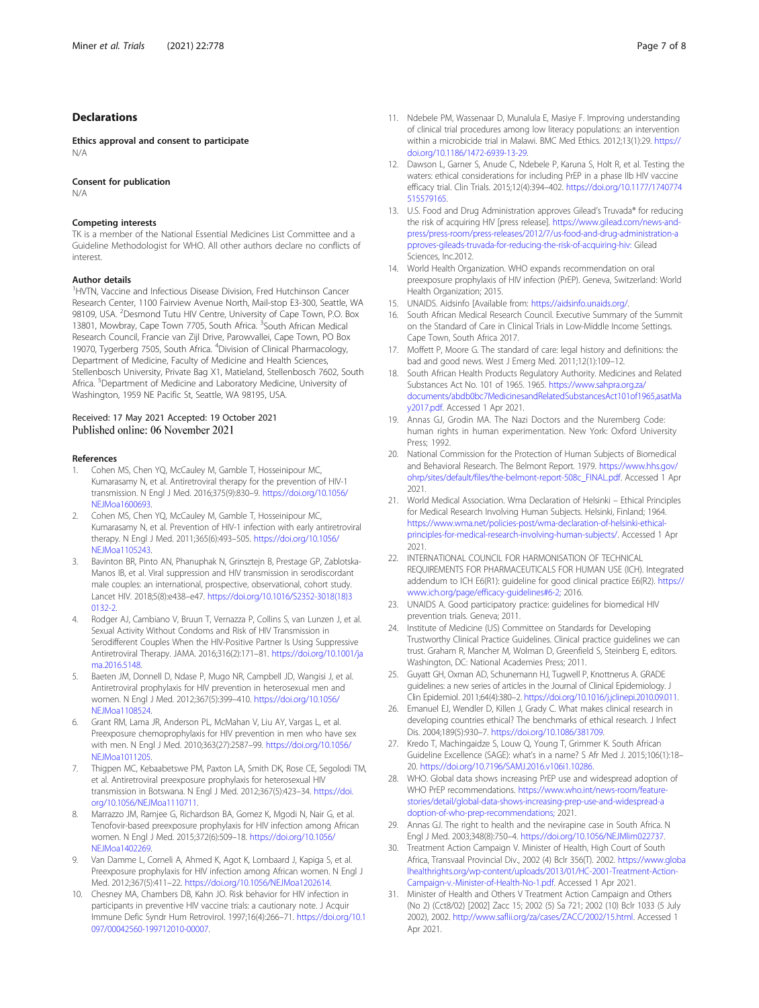#### <span id="page-6-0"></span>Declarations

Ethics approval and consent to participate N/A

Consent for publication

N/A

#### Competing interests

TK is a member of the National Essential Medicines List Committee and a Guideline Methodologist for WHO. All other authors declare no conflicts of interest.

#### Author details

<sup>1</sup>HVTN, Vaccine and Infectious Disease Division, Fred Hutchinson Cancer Research Center, 1100 Fairview Avenue North, Mail-stop E3-300, Seattle, WA 98109, USA. <sup>2</sup>Desmond Tutu HIV Centre, University of Cape Town, P.O. Box 13801, Mowbray, Cape Town 7705, South Africa. <sup>3</sup>South African Medical Research Council, Francie van Zijl Drive, Parowvallei, Cape Town, PO Box 19070, Tygerberg 7505, South Africa. <sup>4</sup>Division of Clinical Pharmacology, Department of Medicine, Faculty of Medicine and Health Sciences, Stellenbosch University, Private Bag X1, Matieland, Stellenbosch 7602, South Africa. <sup>5</sup>Department of Medicine and Laboratory Medicine, University of Washington, 1959 NE Pacific St, Seattle, WA 98195, USA.

## Received: 17 May 2021 Accepted: 19 October 2021<br>Published online: 06 November 2021

#### References

- Cohen MS, Chen YQ, McCauley M, Gamble T, Hosseinipour MC, Kumarasamy N, et al. Antiretroviral therapy for the prevention of HIV-1 transmission. N Engl J Med. 2016;375(9):830–9. [https://doi.org/10.1056/](https://doi.org/10.1056/NEJMoa1600693) [NEJMoa1600693](https://doi.org/10.1056/NEJMoa1600693).
- 2. Cohen MS, Chen YQ, McCauley M, Gamble T, Hosseinipour MC, Kumarasamy N, et al. Prevention of HIV-1 infection with early antiretroviral therapy. N Engl J Med. 2011;365(6):493–505. [https://doi.org/10.1056/](https://doi.org/10.1056/NEJMoa1105243) [NEJMoa1105243](https://doi.org/10.1056/NEJMoa1105243).
- Bavinton BR, Pinto AN, Phanuphak N, Grinsztejn B, Prestage GP, Zablotska-Manos IB, et al. Viral suppression and HIV transmission in serodiscordant male couples: an international, prospective, observational, cohort study. Lancet HIV. 2018;5(8):e438–e47. [https://doi.org/10.1016/S2352-3018\(18\)3](https://doi.org/10.1016/S2352-3018(18)30132-2) [0132-2.](https://doi.org/10.1016/S2352-3018(18)30132-2)
- 4. Rodger AJ, Cambiano V, Bruun T, Vernazza P, Collins S, van Lunzen J, et al. Sexual Activity Without Condoms and Risk of HIV Transmission in Serodifferent Couples When the HIV-Positive Partner Is Using Suppressive Antiretroviral Therapy. JAMA. 2016;316(2):171–81. [https://doi.org/10.1001/ja](https://doi.org/10.1001/jama.2016.5148) [ma.2016.5148](https://doi.org/10.1001/jama.2016.5148).
- 5. Baeten JM, Donnell D, Ndase P, Mugo NR, Campbell JD, Wangisi J, et al. Antiretroviral prophylaxis for HIV prevention in heterosexual men and women. N Engl J Med. 2012;367(5):399–410. [https://doi.org/10.1056/](https://doi.org/10.1056/NEJMoa1108524) [NEJMoa1108524](https://doi.org/10.1056/NEJMoa1108524).
- Grant RM, Lama JR, Anderson PL, McMahan V, Liu AY, Vargas L, et al. Preexposure chemoprophylaxis for HIV prevention in men who have sex with men. N Engl J Med. 2010;363(27):2587–99. [https://doi.org/10.1056/](https://doi.org/10.1056/NEJMoa1011205) [NEJMoa1011205](https://doi.org/10.1056/NEJMoa1011205).
- 7. Thigpen MC, Kebaabetswe PM, Paxton LA, Smith DK, Rose CE, Segolodi TM, et al. Antiretroviral preexposure prophylaxis for heterosexual HIV transmission in Botswana. N Engl J Med. 2012;367(5):423–34. [https://doi.](https://doi.org/10.1056/NEJMoa1110711) [org/10.1056/NEJMoa1110711.](https://doi.org/10.1056/NEJMoa1110711)
- 8. Marrazzo JM, Ramjee G, Richardson BA, Gomez K, Mgodi N, Nair G, et al. Tenofovir-based preexposure prophylaxis for HIV infection among African women. N Engl J Med. 2015;372(6):509–18. [https://doi.org/10.1056/](https://doi.org/10.1056/NEJMoa1402269) [NEJMoa1402269](https://doi.org/10.1056/NEJMoa1402269).
- 9. Van Damme L, Corneli A, Ahmed K, Agot K, Lombaard J, Kapiga S, et al. Preexposure prophylaxis for HIV infection among African women. N Engl J Med. 2012;367(5):411–22. [https://doi.org/10.1056/NEJMoa1202614.](https://doi.org/10.1056/NEJMoa1202614)
- 10. Chesney MA, Chambers DB, Kahn JO. Risk behavior for HIV infection in participants in preventive HIV vaccine trials: a cautionary note. J Acquir Immune Defic Syndr Hum Retrovirol. 1997;16(4):266–71. [https://doi.org/10.1](https://doi.org/10.1097/00042560-199712010-00007) [097/00042560-199712010-00007.](https://doi.org/10.1097/00042560-199712010-00007)
- 11. Ndebele PM, Wassenaar D, Munalula E, Masiye F. Improving understanding of clinical trial procedures among low literacy populations: an intervention within a microbicide trial in Malawi. BMC Med Ethics. 2012;13(1):29. [https://](https://doi.org/10.1186/1472-6939-13-29) [doi.org/10.1186/1472-6939-13-29.](https://doi.org/10.1186/1472-6939-13-29)
- 12. Dawson L, Garner S, Anude C, Ndebele P, Karuna S, Holt R, et al. Testing the waters: ethical considerations for including PrEP in a phase IIb HIV vaccine efficacy trial. Clin Trials. 2015;12(4):394–402. [https://doi.org/10.1177/1740774](https://doi.org/10.1177/1740774515579165) [515579165](https://doi.org/10.1177/1740774515579165).
- 13. U.S. Food and Drug Administration approves Gilead's Truvada® for reducing the risk of acquiring HIV [press release]. [https://www.gilead.com/news-and](https://www.gilead.com/news-and-press/press-room/press-releases/2012/7/us-food-and-drug-administration-approves-gileads-truvada-for-reducing-the-risk-of-acquiring-hiv:)[press/press-room/press-releases/2012/7/us-food-and-drug-administration-a](https://www.gilead.com/news-and-press/press-room/press-releases/2012/7/us-food-and-drug-administration-approves-gileads-truvada-for-reducing-the-risk-of-acquiring-hiv:) [pproves-gileads-truvada-for-reducing-the-risk-of-acquiring-hiv:](https://www.gilead.com/news-and-press/press-room/press-releases/2012/7/us-food-and-drug-administration-approves-gileads-truvada-for-reducing-the-risk-of-acquiring-hiv:) Gilead Sciences, Inc.2012.
- 14. World Health Organization. WHO expands recommendation on oral preexposure prophylaxis of HIV infection (PrEP). Geneva, Switzerland: World Health Organization; 2015.
- 15. UNAIDS. Aidsinfo [Available from: [https://aidsinfo.unaids.org/.](https://aidsinfo.unaids.org/)
- 16. South African Medical Research Council. Executive Summary of the Summit on the Standard of Care in Clinical Trials in Low-Middle Income Settings. Cape Town, South Africa 2017.
- 17. Moffett P, Moore G. The standard of care: legal history and definitions: the bad and good news. West J Emerg Med. 2011;12(1):109–12.
- 18. South African Health Products Regulatory Authority. Medicines and Related Substances Act No. 101 of 1965. 1965. [https://www.sahpra.org.za/](https://www.sahpra.org.za/documents/abdb0bc7MedicinesandRelatedSubstancesAct101of1965,asatMay2017.pdf) [documents/abdb0bc7MedicinesandRelatedSubstancesAct101of1965,asatMa](https://www.sahpra.org.za/documents/abdb0bc7MedicinesandRelatedSubstancesAct101of1965,asatMay2017.pdf) [y2017.pdf](https://www.sahpra.org.za/documents/abdb0bc7MedicinesandRelatedSubstancesAct101of1965,asatMay2017.pdf). Accessed 1 Apr 2021.
- 19. Annas GJ, Grodin MA. The Nazi Doctors and the Nuremberg Code: human rights in human experimentation. New York: Oxford University Press; 1992.
- 20. National Commission for the Protection of Human Subjects of Biomedical and Behavioral Research. The Belmont Report. 1979. [https://www.hhs.gov/](https://www.hhs.gov/ohrp/sites/default/files/the-belmont-report-508c_FINAL.pdf) [ohrp/sites/default/files/the-belmont-report-508c\\_FINAL.pdf](https://www.hhs.gov/ohrp/sites/default/files/the-belmont-report-508c_FINAL.pdf). Accessed 1 Apr 2021.
- 21. World Medical Association. Wma Declaration of Helsinki Ethical Principles for Medical Research Involving Human Subjects. Helsinki, Finland; 1964. [https://www.wma.net/policies-post/wma-declaration-of-helsinki-ethical](https://www.wma.net/policies-post/wma-declaration-of-helsinki-ethical-principles-for-medical-research-involving-human-subjects/)[principles-for-medical-research-involving-human-subjects/.](https://www.wma.net/policies-post/wma-declaration-of-helsinki-ethical-principles-for-medical-research-involving-human-subjects/) Accessed 1 Apr 2021.
- 22. INTERNATIONAL COUNCIL FOR HARMONISATION OF TECHNICAL REQUIREMENTS FOR PHARMACEUTICALS FOR HUMAN USE (ICH). Integrated addendum to ICH E6(R1): guideline for good clinical practice E6(R2). [https://](https://www.ich.org/page/efficacy-guidelines#6-2;) [www.ich.org/page/efficacy-guidelines#6-2;](https://www.ich.org/page/efficacy-guidelines#6-2;) 2016.
- 23. UNAIDS A. Good participatory practice: guidelines for biomedical HIV prevention trials. Geneva; 2011.
- 24. Institute of Medicine (US) Committee on Standards for Developing Trustworthy Clinical Practice Guidelines. Clinical practice guidelines we can trust. Graham R, Mancher M, Wolman D, Greenfield S, Steinberg E, editors. Washington, DC: National Academies Press; 2011.
- 25. Guyatt GH, Oxman AD, Schunemann HJ, Tugwell P, Knottnerus A. GRADE guidelines: a new series of articles in the Journal of Clinical Epidemiology. J Clin Epidemiol. 2011;64(4):380–2. [https://doi.org/10.1016/j.jclinepi.2010.09.011.](https://doi.org/10.1016/j.jclinepi.2010.09.011)
- 26. Emanuel EJ, Wendler D, Killen J, Grady C. What makes clinical research in developing countries ethical? The benchmarks of ethical research. J Infect Dis. 2004;189(5):930–7. <https://doi.org/10.1086/381709>.
- 27. Kredo T, Machingaidze S, Louw Q, Young T, Grimmer K. South African Guideline Excellence (SAGE): what's in a name? S Afr Med J. 2015;106(1):18– 20. <https://doi.org/10.7196/SAMJ.2016.v106i1.10286>.
- 28. WHO. Global data shows increasing PrEP use and widespread adoption of WHO PrEP recommendations. [https://www.who.int/news-room/feature](https://www.who.int/news-room/feature-stories/detail/global-data-shows-increasing-prep-use-and-widespread-adoption-of-who-prep-recommendations;)[stories/detail/global-data-shows-increasing-prep-use-and-widespread-a](https://www.who.int/news-room/feature-stories/detail/global-data-shows-increasing-prep-use-and-widespread-adoption-of-who-prep-recommendations;) [doption-of-who-prep-recommendations;](https://www.who.int/news-room/feature-stories/detail/global-data-shows-increasing-prep-use-and-widespread-adoption-of-who-prep-recommendations;) 2021.
- 29. Annas GJ. The right to health and the nevirapine case in South Africa. N Engl J Med. 2003;348(8):750–4. <https://doi.org/10.1056/NEJMlim022737>.
- 30. Treatment Action Campaign V. Minister of Health, High Court of South Africa, Transvaal Provincial Div., 2002 (4) Bclr 356(T). 2002. [https://www.globa](https://www.globalhealthrights.org/wp-content/uploads/2013/01/HC-2001-Treatment-Action-Campaign-v.-Minister-of-Health-No-1.pdf) [lhealthrights.org/wp-content/uploads/2013/01/HC-2001-Treatment-Action-](https://www.globalhealthrights.org/wp-content/uploads/2013/01/HC-2001-Treatment-Action-Campaign-v.-Minister-of-Health-No-1.pdf)[Campaign-v.-Minister-of-Health-No-1.pdf.](https://www.globalhealthrights.org/wp-content/uploads/2013/01/HC-2001-Treatment-Action-Campaign-v.-Minister-of-Health-No-1.pdf) Accessed 1 Apr 2021.
- 31. Minister of Health and Others V Treatment Action Campaign and Others (No 2) (Cct8/02) [2002] Zacc 15; 2002 (5) Sa 721; 2002 (10) Bclr 1033 (5 July 2002), 2002. <http://www.saflii.org/za/cases/ZACC/2002/15.html>. Accessed 1 Apr 2021.